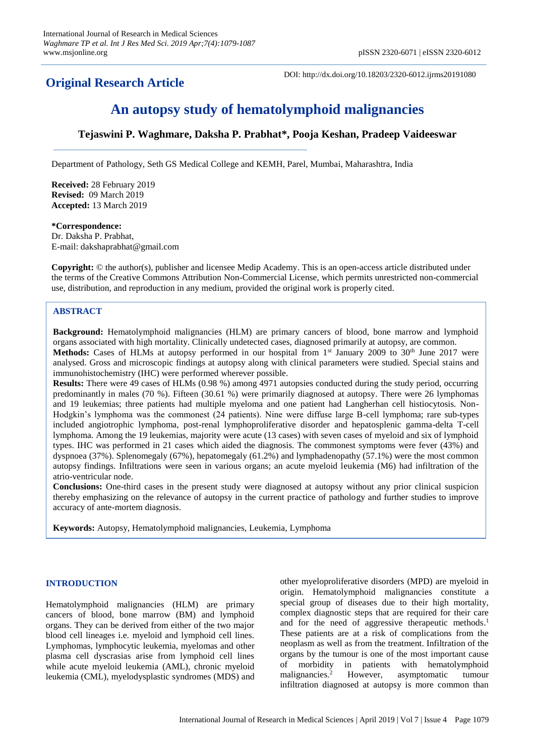## **Original Research Article**

DOI: http://dx.doi.org/10.18203/2320-6012.ijrms20191080

# **An autopsy study of hematolymphoid malignancies**

## **Tejaswini P. Waghmare, Daksha P. Prabhat\*, Pooja Keshan, Pradeep Vaideeswar**

Department of Pathology, Seth GS Medical College and KEMH, Parel, Mumbai, Maharashtra, India

**Received:** 28 February 2019 **Revised:** 09 March 2019 **Accepted:** 13 March 2019

## **\*Correspondence:** Dr. Daksha P. Prabhat, E-mail: dakshaprabhat@gmail.com

**Copyright:** © the author(s), publisher and licensee Medip Academy. This is an open-access article distributed under the terms of the Creative Commons Attribution Non-Commercial License, which permits unrestricted non-commercial use, distribution, and reproduction in any medium, provided the original work is properly cited.

## **ABSTRACT**

**Background:** Hematolymphoid malignancies (HLM) are primary cancers of blood, bone marrow and lymphoid organs associated with high mortality. Clinically undetected cases, diagnosed primarily at autopsy, are common. Methods: Cases of HLMs at autopsy performed in our hospital from 1<sup>st</sup> January 2009 to 30<sup>th</sup> June 2017 were analysed. Gross and microscopic findings at autopsy along with clinical parameters were studied. Special stains and immunohistochemistry (IHC) were performed wherever possible.

**Results:** There were 49 cases of HLMs (0.98 %) among 4971 autopsies conducted during the study period, occurring predominantly in males (70 %). Fifteen (30.61 %) were primarily diagnosed at autopsy. There were 26 lymphomas and 19 leukemias; three patients had multiple myeloma and one patient had Langherhan cell histiocytosis. Non-Hodgkin's lymphoma was the commonest (24 patients). Nine were diffuse large B-cell lymphoma; rare sub-types included angiotrophic lymphoma, post-renal lymphoproliferative disorder and hepatosplenic gamma-delta T-cell lymphoma. Among the 19 leukemias, majority were acute (13 cases) with seven cases of myeloid and six of lymphoid types. IHC was performed in 21 cases which aided the diagnosis. The commonest symptoms were fever (43%) and dyspnoea (37%). Splenomegaly (67%), hepatomegaly (61.2%) and lymphadenopathy (57.1%) were the most common autopsy findings. Infiltrations were seen in various organs; an acute myeloid leukemia (M6) had infiltration of the atrio-ventricular node.

**Conclusions:** One-third cases in the present study were diagnosed at autopsy without any prior clinical suspicion thereby emphasizing on the relevance of autopsy in the current practice of pathology and further studies to improve accuracy of ante-mortem diagnosis.

**Keywords:** Autopsy, Hematolymphoid malignancies, Leukemia, Lymphoma

## **INTRODUCTION**

Hematolymphoid malignancies (HLM) are primary cancers of blood, bone marrow (BM) and lymphoid organs. They can be derived from either of the two major blood cell lineages i.e. myeloid and lymphoid cell lines. Lymphomas, lymphocytic leukemia, myelomas and other plasma cell dyscrasias arise from lymphoid cell lines while acute myeloid leukemia (AML), chronic myeloid leukemia (CML), myelodysplastic syndromes (MDS) and other myeloproliferative disorders (MPD) are myeloid in origin. Hematolymphoid malignancies constitute a special group of diseases due to their high mortality, complex diagnostic steps that are required for their care and for the need of aggressive therapeutic methods. 1 These patients are at a risk of complications from the neoplasm as well as from the treatment. Infiltration of the organs by the tumour is one of the most important cause of morbidity in patients with hematolymphoid malignancies. <sup>2</sup> However, asymptomatic tumour infiltration diagnosed at autopsy is more common than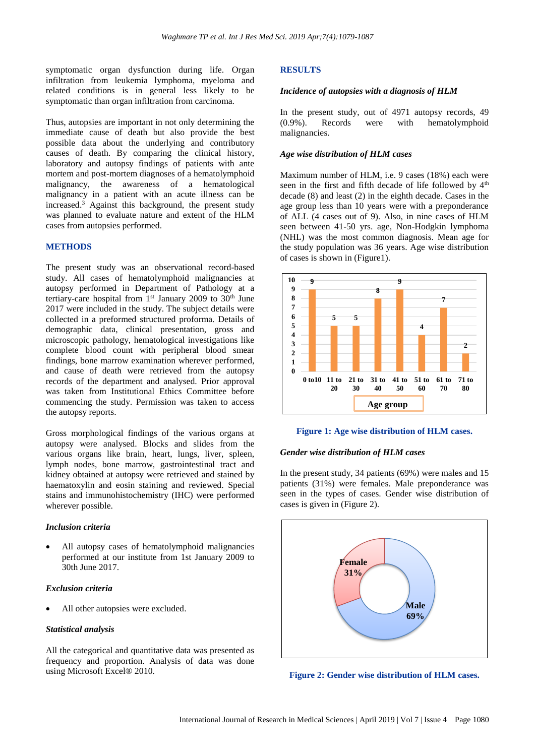symptomatic organ dysfunction during life. Organ infiltration from leukemia lymphoma, myeloma and related conditions is in general less likely to be symptomatic than organ infiltration from carcinoma.

Thus, autopsies are important in not only determining the immediate cause of death but also provide the best possible data about the underlying and contributory causes of death. By comparing the clinical history, laboratory and autopsy findings of patients with ante mortem and post-mortem diagnoses of a hematolymphoid malignancy, the awareness of a hematological malignancy in a patient with an acute illness can be increased. <sup>3</sup> Against this background, the present study was planned to evaluate nature and extent of the HLM cases from autopsies performed.

## **METHODS**

The present study was an observational record-based study. All cases of hematolymphoid malignancies at autopsy performed in Department of Pathology at a tertiary-care hospital from  $1<sup>st</sup>$  January 2009 to 30<sup>th</sup> June 2017 were included in the study. The subject details were collected in a preformed structured proforma. Details of demographic data, clinical presentation, gross and microscopic pathology, hematological investigations like complete blood count with peripheral blood smear findings, bone marrow examination wherever performed, and cause of death were retrieved from the autopsy records of the department and analysed. Prior approval was taken from Institutional Ethics Committee before commencing the study. Permission was taken to access the autopsy reports.

Gross morphological findings of the various organs at autopsy were analysed. Blocks and slides from the various organs like brain, heart, lungs, liver, spleen, lymph nodes, bone marrow, gastrointestinal tract and kidney obtained at autopsy were retrieved and stained by haematoxylin and eosin staining and reviewed. Special stains and immunohistochemistry (IHC) were performed wherever possible.

## *Inclusion criteria*

All autopsy cases of hematolymphoid malignancies performed at our institute from 1st January 2009 to 30th June 2017.

## *Exclusion criteria*

All other autopsies were excluded.

### *Statistical analysis*

All the categorical and quantitative data was presented as frequency and proportion. Analysis of data was done using Microsoft Excel® 2010.

#### **RESULTS**

#### *Incidence of autopsies with a diagnosis of HLM*

In the present study, out of 4971 autopsy records, 49 (0.9%). Records were with hematolymphoid malignancies.

#### *Age wise distribution of HLM cases*

Maximum number of HLM, i.e. 9 cases (18%) each were seen in the first and fifth decade of life followed by  $4<sup>th</sup>$ decade (8) and least (2) in the eighth decade. Cases in the age group less than 10 years were with a preponderance of ALL (4 cases out of 9). Also, in nine cases of HLM seen between 41-50 yrs. age, Non-Hodgkin lymphoma (NHL) was the most common diagnosis. Mean age for the study population was 36 years. Age wise distribution of cases is shown in (Figure1).



#### **Figure 1: Age wise distribution of HLM cases.**

#### *Gender wise distribution of HLM cases*

In the present study, 34 patients (69%) were males and 15 patients (31%) were females. Male preponderance was seen in the types of cases. Gender wise distribution of cases is given in (Figure 2).



**Figure 2: Gender wise distribution of HLM cases.**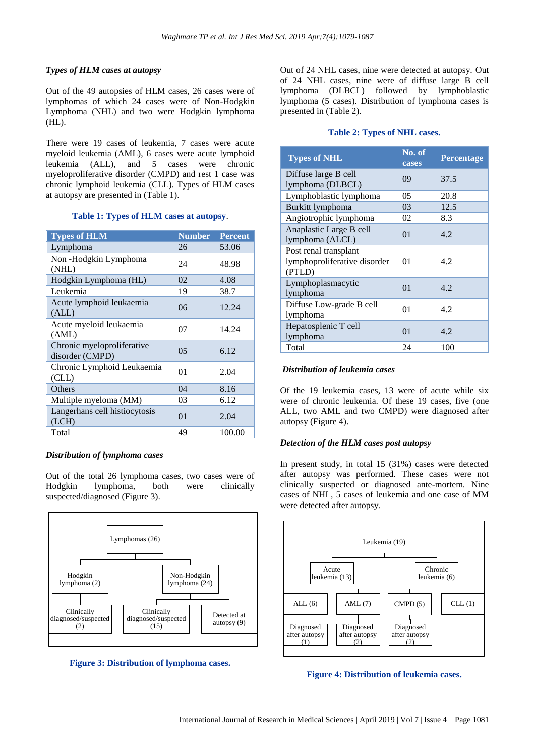## *Types of HLM cases at autopsy*

Out of the 49 autopsies of HLM cases, 26 cases were of lymphomas of which 24 cases were of Non-Hodgkin Lymphoma (NHL) and two were Hodgkin lymphoma (HL).

There were 19 cases of leukemia, 7 cases were acute myeloid leukemia (AML), 6 cases were acute lymphoid leukemia (ALL), and 5 cases were chronic myeloproliferative disorder (CMPD) and rest 1 case was chronic lymphoid leukemia (CLL). Types of HLM cases at autopsy are presented in (Table 1).

## **Table 1: Types of HLM cases at autopsy**.

| <b>Types of HLM</b>                           | <b>Number</b>  | <b>Percent</b> |
|-----------------------------------------------|----------------|----------------|
| Lymphoma                                      | 26             | 53.06          |
| Non-Hodgkin Lymphoma<br>(NHL)                 | 24             | 48.98          |
| Hodgkin Lymphoma (HL)                         | 02             | 4.08           |
| Leukemia                                      | 19             | 38.7           |
| Acute lymphoid leukaemia<br>(ALL)             | 06             | 12.24          |
| Acute myeloid leukaemia<br>(AML)              | 07             | 14.24          |
| Chronic myeloproliferative<br>disorder (CMPD) | 0 <sub>5</sub> | 6.12           |
| Chronic Lymphoid Leukaemia<br>CLL)            | 01             | 2.04           |
| Others                                        | 04             | 8.16           |
| Multiple myeloma (MM)                         | 03             | 6.12           |
| Langerhans cell histiocytosis<br>(LCH)        | 01             | 2.04           |
| Total                                         | 49             | 100.00         |

## *Distribution of lymphoma cases*

Out of the total 26 lymphoma cases, two cases were of Hodgkin lymphoma, both were clinically suspected/diagnosed (Figure 3).





Out of 24 NHL cases, nine were detected at autopsy. Out of 24 NHL cases, nine were of diffuse large B cell lymphoma (DLBCL) followed by lymphoblastic lymphoma (5 cases). Distribution of lymphoma cases is presented in (Table 2).

## **Table 2: Types of NHL cases.**

| <b>Types of NHL</b>                                             | No. of<br>cases | Percentage |
|-----------------------------------------------------------------|-----------------|------------|
| Diffuse large B cell<br>lymphoma (DLBCL)                        | 09              | 37.5       |
| Lymphoblastic lymphoma                                          | 05              | 20.8       |
| Burkitt lymphoma                                                | 03              | 12.5       |
| Angiotrophic lymphoma                                           | 02              | 8.3        |
| Anaplastic Large B cell<br>lymphoma (ALCL)                      | 0 <sup>1</sup>  | 4.2        |
| Post renal transplant<br>lymphoproliferative disorder<br>(PTLD) | 01              | 4.2        |
| Lymphoplasmacytic<br>lymphoma                                   | 01              | 4.2.       |
| Diffuse Low-grade B cell<br>lymphoma                            | 01              | 4.2        |
| Hepatosplenic T cell<br>lymphoma                                | 01              | 4.2.       |
| Total                                                           | 24              | 100        |

## *Distribution of leukemia cases*

Of the 19 leukemia cases, 13 were of acute while six were of chronic leukemia. Of these 19 cases, five (one ALL, two AML and two CMPD) were diagnosed after autopsy (Figure 4).

## *Detection of the HLM cases post autopsy*

In present study, in total 15 (31%) cases were detected after autopsy was performed. These cases were not clinically suspected or diagnosed ante-mortem. Nine cases of NHL, 5 cases of leukemia and one case of MM were detected after autopsy.



## **Figure 4: Distribution of leukemia cases.**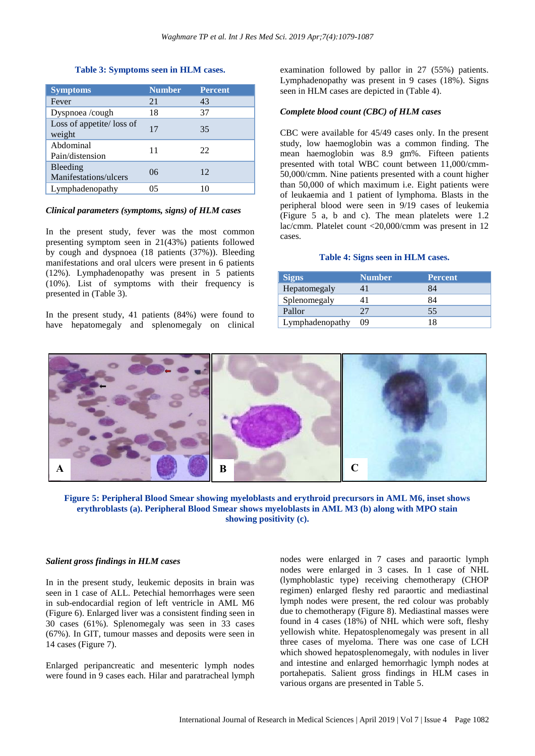## **Table 3: Symptoms seen in HLM cases.**

| <b>Symptoms</b>                     | <b>Number</b> | <b>Percent</b> |
|-------------------------------------|---------------|----------------|
| Fever                               | 21            | 43             |
| Dyspnoea/cough                      | 18            | 37             |
| Loss of appetite/ loss of<br>weight | 17            | 35             |
| Abdominal<br>Pain/distension        | 11            | 22             |
| Bleeding<br>Manifestations/ulcers   | 06            | 12             |
| Lymphadenopathy                     | 05            | 10             |

## *Clinical parameters (symptoms, signs) of HLM cases*

In the present study, fever was the most common presenting symptom seen in 21(43%) patients followed by cough and dyspnoea (18 patients (37%)). Bleeding manifestations and oral ulcers were present in 6 patients (12%). Lymphadenopathy was present in 5 patients (10%). List of symptoms with their frequency is presented in (Table 3).

In the present study, 41 patients (84%) were found to have hepatomegaly and splenomegaly on clinical examination followed by pallor in 27 (55%) patients. Lymphadenopathy was present in 9 cases (18%). Signs seen in HLM cases are depicted in (Table 4).

## *Complete blood count (CBC) of HLM cases*

CBC were available for 45/49 cases only. In the present study, low haemoglobin was a common finding. The mean haemoglobin was 8.9 gm%. Fifteen patients presented with total WBC count between 11,000/cmm-50,000/cmm. Nine patients presented with a count higher than 50,000 of which maximum i.e. Eight patients were of leukaemia and 1 patient of lymphoma. Blasts in the peripheral blood were seen in 9/19 cases of leukemia (Figure 5 a, b and c). The mean platelets were 1.2 lac/cmm. Platelet count <20,000/cmm was present in 12 cases.

## **Table 4: Signs seen in HLM cases.**

| <b>Signs</b>    | <b>Number</b> | <b>Percent</b> |
|-----------------|---------------|----------------|
| Hepatomegaly    |               | 84             |
| Splenomegaly    |               | 84             |
| Pallor          | 27            | 55             |
| Lymphadenopathy | 09            |                |



**Figure 5: Peripheral Blood Smear showing myeloblasts and erythroid precursors in AML M6, inset shows erythroblasts (a). Peripheral Blood Smear shows myeloblasts in AML M3 (b) along with MPO stain showing positivity (c).**

### *Salient gross findings in HLM cases*

In in the present study, leukemic deposits in brain was seen in 1 case of ALL. Petechial hemorrhages were seen in sub-endocardial region of left ventricle in AML M6 (Figure 6). Enlarged liver was a consistent finding seen in 30 cases (61%). Splenomegaly was seen in 33 cases (67%). In GIT, tumour masses and deposits were seen in 14 cases (Figure 7).

Enlarged peripancreatic and mesenteric lymph nodes were found in 9 cases each. Hilar and paratracheal lymph

nodes were enlarged in 7 cases and paraortic lymph nodes were enlarged in 3 cases. In 1 case of NHL (lymphoblastic type) receiving chemotherapy (CHOP regimen) enlarged fleshy red paraortic and mediastinal lymph nodes were present, the red colour was probably due to chemotherapy (Figure 8). Mediastinal masses were found in 4 cases (18%) of NHL which were soft, fleshy yellowish white. Hepatosplenomegaly was present in all three cases of myeloma. There was one case of LCH which showed hepatosplenomegaly, with nodules in liver and intestine and enlarged hemorrhagic lymph nodes at portahepatis. Salient gross findings in HLM cases in various organs are presented in Table 5.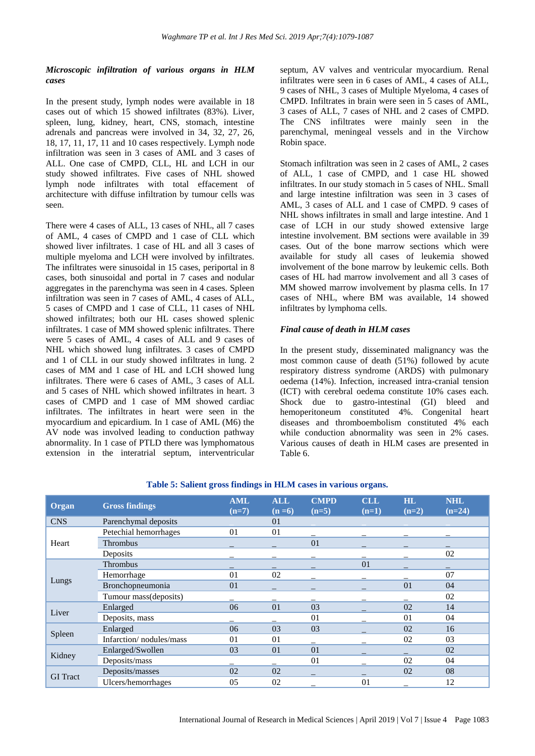## *Microscopic infiltration of various organs in HLM cases*

In the present study, lymph nodes were available in 18 cases out of which 15 showed infiltrates (83%). Liver, spleen, lung, kidney, heart, CNS, stomach, intestine adrenals and pancreas were involved in 34, 32, 27, 26, 18, 17, 11, 17, 11 and 10 cases respectively. Lymph node infiltration was seen in 3 cases of AML and 3 cases of ALL. One case of CMPD, CLL, HL and LCH in our study showed infiltrates. Five cases of NHL showed lymph node infiltrates with total effacement of architecture with diffuse infiltration by tumour cells was seen.

There were 4 cases of ALL, 13 cases of NHL, all 7 cases of AML, 4 cases of CMPD and 1 case of CLL which showed liver infiltrates. 1 case of HL and all 3 cases of multiple myeloma and LCH were involved by infiltrates. The infiltrates were sinusoidal in 15 cases, periportal in 8 cases, both sinusoidal and portal in 7 cases and nodular aggregates in the parenchyma was seen in 4 cases. Spleen infiltration was seen in 7 cases of AML, 4 cases of ALL, 5 cases of CMPD and 1 case of CLL, 11 cases of NHL showed infiltrates; both our HL cases showed splenic infiltrates. 1 case of MM showed splenic infiltrates. There were 5 cases of AML, 4 cases of ALL and 9 cases of NHL which showed lung infiltrates. 3 cases of CMPD and 1 of CLL in our study showed infiltrates in lung. 2 cases of MM and 1 case of HL and LCH showed lung infiltrates. There were 6 cases of AML, 3 cases of ALL and 5 cases of NHL which showed infiltrates in heart. 3 cases of CMPD and 1 case of MM showed cardiac infiltrates. The infiltrates in heart were seen in the myocardium and epicardium. In 1 case of AML (M6) the AV node was involved leading to conduction pathway abnormality. In 1 case of PTLD there was lymphomatous extension in the interatrial septum, interventricular septum, AV valves and ventricular myocardium. Renal infiltrates were seen in 6 cases of AML, 4 cases of ALL, 9 cases of NHL, 3 cases of Multiple Myeloma, 4 cases of CMPD. Infiltrates in brain were seen in 5 cases of AML, 3 cases of ALL, 7 cases of NHL and 2 cases of CMPD. The CNS infiltrates were mainly seen in the parenchymal, meningeal vessels and in the Virchow Robin space.

Stomach infiltration was seen in 2 cases of AML, 2 cases of ALL, 1 case of CMPD, and 1 case HL showed infiltrates. In our study stomach in 5 cases of NHL. Small and large intestine infiltration was seen in 3 cases of AML, 3 cases of ALL and 1 case of CMPD. 9 cases of NHL shows infiltrates in small and large intestine. And 1 case of LCH in our study showed extensive large intestine involvement. BM sections were available in 39 cases. Out of the bone marrow sections which were available for study all cases of leukemia showed involvement of the bone marrow by leukemic cells. Both cases of HL had marrow involvement and all 3 cases of MM showed marrow involvement by plasma cells. In 17 cases of NHL, where BM was available, 14 showed infiltrates by lymphoma cells.

#### *Final cause of death in HLM cases*

In the present study, disseminated malignancy was the most common cause of death (51%) followed by acute respiratory distress syndrome (ARDS) with pulmonary oedema (14%). Infection, increased intra-cranial tension (ICT) with cerebral oedema constitute 10% cases each. Shock due to gastro-intestinal (GI) bleed and hemoperitoneum constituted 4%. Congenital heart diseases and thromboembolism constituted 4% each while conduction abnormality was seen in 2% cases. Various causes of death in HLM cases are presented in Table 6.

| Organ           | <b>Gross findings</b>   | <b>AML</b><br>$(n=7)$ | <b>ALL</b><br>$(n=6)$ | <b>CMPD</b><br>$(n=5)$ | <b>CLL</b><br>$(n=1)$ | $\mathbf{H} \mathbf{L}$<br>$(n=2)$ | <b>NHL</b><br>$(n=24)$ |
|-----------------|-------------------------|-----------------------|-----------------------|------------------------|-----------------------|------------------------------------|------------------------|
| <b>CNS</b>      | Parenchymal deposits    |                       | 0 <sub>1</sub>        |                        |                       |                                    |                        |
| Heart           | Petechial hemorrhages   | 0 <sub>1</sub>        | 01                    |                        |                       |                                    |                        |
|                 | Thrombus                |                       |                       | 01                     |                       |                                    |                        |
|                 | Deposits                |                       |                       |                        |                       |                                    | 02                     |
|                 | Thrombus                | –                     |                       |                        | 01                    |                                    | -                      |
|                 | Hemorrhage              | 01                    | 02                    |                        |                       |                                    | 07                     |
| Lungs           | Bronchopneumonia        | 01                    |                       |                        |                       | 01                                 | 04                     |
|                 | Tumour mass(deposits)   |                       |                       |                        |                       |                                    | 02                     |
| Liver           | Enlarged                | 06                    | 01                    | 03                     |                       | 02                                 | 14                     |
|                 | Deposits, mass          |                       |                       | 01                     |                       | 01                                 | 04                     |
|                 | Enlarged                | 06                    | 03                    | 03                     |                       | 02                                 | 16                     |
| Spleen          | Infarction/nodules/mass | 0 <sub>1</sub>        | 01                    |                        |                       | 02                                 | 03                     |
| Kidney          | Enlarged/Swollen        | 03                    | 01                    | 01                     |                       |                                    | 02                     |
|                 | Deposits/mass           |                       |                       | 01                     |                       | 02                                 | 04                     |
| <b>GI</b> Tract | Deposits/masses         | 02                    | 02                    |                        |                       | 02                                 | 08                     |
|                 | Ulcers/hemorrhages      | 05                    | 02                    |                        | 01                    |                                    | 12                     |

## **Table 5: Salient gross findings in HLM cases in various organs.**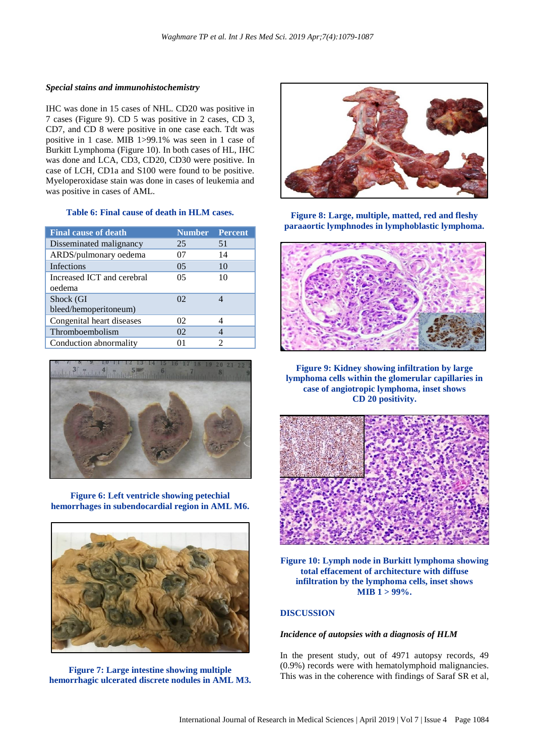## *Special stains and immunohistochemistry*

IHC was done in 15 cases of NHL. CD20 was positive in 7 cases (Figure 9). CD 5 was positive in 2 cases, CD 3, CD7, and CD 8 were positive in one case each. Tdt was positive in 1 case. MIB 1>99.1% was seen in 1 case of Burkitt Lymphoma (Figure 10). In both cases of HL, IHC was done and LCA, CD3, CD20, CD30 were positive. In case of LCH, CD1a and S100 were found to be positive. Myeloperoxidase stain was done in cases of leukemia and was positive in cases of AML.

## **Table 6: Final cause of death in HLM cases.**

| <b>Final cause of death</b> | <b>Number</b> Percent |                             |
|-----------------------------|-----------------------|-----------------------------|
| Disseminated malignancy     | 25                    | 51                          |
| ARDS/pulmonary oedema       | 07                    | 14                          |
| Infections                  | 0 <sub>5</sub>        | 10                          |
| Increased ICT and cerebral  | 05                    | 10                          |
| oedema                      |                       |                             |
| Shock (GI                   | $\Omega$              |                             |
| bleed/hemoperitoneum)       |                       |                             |
| Congenital heart diseases   | 02                    | 4                           |
| Thromboembolism             | 02                    |                             |
| Conduction abnormality      | 01                    | $\mathcal{D}_{\mathcal{A}}$ |



**Figure 6: Left ventricle showing petechial hemorrhages in subendocardial region in AML M6.**



**Figure 7: Large intestine showing multiple hemorrhagic ulcerated discrete nodules in AML M3.**



**Figure 8: Large, multiple, matted, red and fleshy paraaortic lymphnodes in lymphoblastic lymphoma.**



**Figure 9: Kidney showing infiltration by large lymphoma cells within the glomerular capillaries in case of angiotropic lymphoma, inset shows CD 20 positivity.**



**Figure 10: Lymph node in Burkitt lymphoma showing total effacement of architecture with diffuse infiltration by the lymphoma cells, inset shows MIB 1 > 99%.**

## **DISCUSSION**

## *Incidence of autopsies with a diagnosis of HLM*

In the present study, out of 4971 autopsy records, 49 (0.9%) records were with hematolymphoid malignancies. This was in the coherence with findings of Saraf SR et al,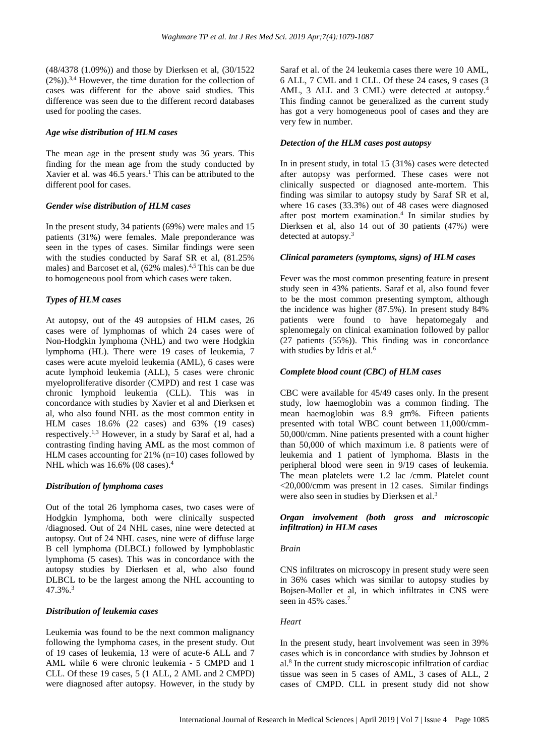(48/4378 (1.09%)) and those by Dierksen et al, (30/1522  $(2\%)$ .<sup>3,4</sup> However, the time duration for the collection of cases was different for the above said studies. This difference was seen due to the different record databases used for pooling the cases.

#### *Age wise distribution of HLM cases*

The mean age in the present study was 36 years. This finding for the mean age from the study conducted by Xavier et al. was 46.5 years. <sup>1</sup> This can be attributed to the different pool for cases.

#### *Gender wise distribution of HLM cases*

In the present study, 34 patients (69%) were males and 15 patients (31%) were females. Male preponderance was seen in the types of cases. Similar findings were seen with the studies conducted by Saraf SR et al, (81.25% males) and Barcoset et al,  $(62\%$  males).<sup>4,5</sup> This can be due to homogeneous pool from which cases were taken.

## *Types of HLM cases*

At autopsy, out of the 49 autopsies of HLM cases, 26 cases were of lymphomas of which 24 cases were of Non-Hodgkin lymphoma (NHL) and two were Hodgkin lymphoma (HL). There were 19 cases of leukemia, 7 cases were acute myeloid leukemia (AML), 6 cases were acute lymphoid leukemia (ALL), 5 cases were chronic myeloproliferative disorder (CMPD) and rest 1 case was chronic lymphoid leukemia (CLL). This was in concordance with studies by Xavier et al and Dierksen et al, who also found NHL as the most common entity in HLM cases 18.6% (22 cases) and 63% (19 cases) respectively.<sup>1,3</sup> However, in a study by Saraf et al, had a contrasting finding having AML as the most common of HLM cases accounting for 21% (n=10) cases followed by NHL which was 16.6% (08 cases).<sup>4</sup>

## *Distribution of lymphoma cases*

Out of the total 26 lymphoma cases, two cases were of Hodgkin lymphoma, both were clinically suspected /diagnosed. Out of 24 NHL cases, nine were detected at autopsy. Out of 24 NHL cases, nine were of diffuse large B cell lymphoma (DLBCL) followed by lymphoblastic lymphoma (5 cases). This was in concordance with the autopsy studies by Dierksen et al, who also found DLBCL to be the largest among the NHL accounting to 47.3%. 3

## *Distribution of leukemia cases*

Leukemia was found to be the next common malignancy following the lymphoma cases, in the present study. Out of 19 cases of leukemia, 13 were of acute-6 ALL and 7 AML while 6 were chronic leukemia - 5 CMPD and 1 CLL. Of these 19 cases, 5 (1 ALL, 2 AML and 2 CMPD) were diagnosed after autopsy. However, in the study by Saraf et al. of the 24 leukemia cases there were 10 AML, 6 ALL, 7 CML and 1 CLL. Of these 24 cases, 9 cases (3 AML, 3 ALL and 3 CML) were detected at autopsy.<sup>4</sup> This finding cannot be generalized as the current study has got a very homogeneous pool of cases and they are very few in number.

#### *Detection of the HLM cases post autopsy*

In in present study, in total 15 (31%) cases were detected after autopsy was performed. These cases were not clinically suspected or diagnosed ante-mortem. This finding was similar to autopsy study by Saraf SR et al, where 16 cases (33.3%) out of 48 cases were diagnosed after post mortem examination. 4 In similar studies by Dierksen et al, also 14 out of 30 patients (47%) were detected at autopsy. 3

## *Clinical parameters (symptoms, signs) of HLM cases*

Fever was the most common presenting feature in present study seen in 43% patients. Saraf et al, also found fever to be the most common presenting symptom, although the incidence was higher (87.5%). In present study 84% patients were found to have hepatomegaly and splenomegaly on clinical examination followed by pallor (27 patients (55%)). This finding was in concordance with studies by Idris et al.<sup>6</sup>

#### *Complete blood count (CBC) of HLM cases*

CBC were available for 45/49 cases only. In the present study, low haemoglobin was a common finding. The mean haemoglobin was 8.9 gm%. Fifteen patients presented with total WBC count between 11,000/cmm-50,000/cmm. Nine patients presented with a count higher than 50,000 of which maximum i.e. 8 patients were of leukemia and 1 patient of lymphoma. Blasts in the peripheral blood were seen in 9/19 cases of leukemia. The mean platelets were 1.2 lac /cmm. Platelet count <20,000/cmm was present in 12 cases. Similar findings were also seen in studies by Dierksen et al.<sup>3</sup>

## *Organ involvement (both gross and microscopic infiltration) in HLM cases*

#### *Brain*

CNS infiltrates on microscopy in present study were seen in 36% cases which was similar to autopsy studies by Bojsen-Moller et al, in which infiltrates in CNS were seen in 45% cases. 7

#### *Heart*

In the present study, heart involvement was seen in 39% cases which is in concordance with studies by Johnson et al.<sup>8</sup> In the current study microscopic infiltration of cardiac tissue was seen in 5 cases of AML, 3 cases of ALL, 2 cases of CMPD. CLL in present study did not show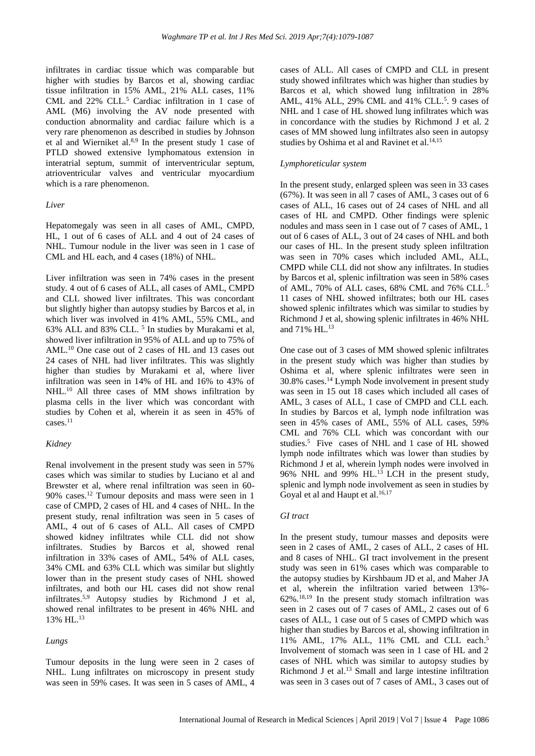infiltrates in cardiac tissue which was comparable but higher with studies by Barcos et al, showing cardiac tissue infiltration in 15% AML, 21% ALL cases, 11% CML and 22% CLL. <sup>5</sup> Cardiac infiltration in 1 case of AML (M6) involving the AV node presented with conduction abnormality and cardiac failure which is a very rare phenomenon as described in studies by Johnson et al and Wierniket al.<sup>8,9</sup> In the present study 1 case of PTLD showed extensive lymphomatous extension in interatrial septum, summit of interventricular septum, atrioventricular valves and ventricular myocardium which is a rare phenomenon.

#### *Liver*

Hepatomegaly was seen in all cases of AML, CMPD, HL, 1 out of 6 cases of ALL and 4 out of 24 cases of NHL. Tumour nodule in the liver was seen in 1 case of CML and HL each, and 4 cases (18%) of NHL.

Liver infiltration was seen in 74% cases in the present study. 4 out of 6 cases of ALL, all cases of AML, CMPD and CLL showed liver infiltrates. This was concordant but slightly higher than autopsy studies by Barcos et al, in which liver was involved in 41% AML, 55% CML, and 63% ALL and 83% CLL. 5 In studies by Murakami et al, showed liver infiltration in 95% of ALL and up to 75% of AML. <sup>10</sup> One case out of 2 cases of HL and 13 cases out 24 cases of NHL had liver infiltrates. This was slightly higher than studies by Murakami et al, where liver infiltration was seen in 14% of HL and 16% to 43% of NHL.<sup>10</sup> All three cases of MM shows infiltration by plasma cells in the liver which was concordant with studies by Cohen et al, wherein it as seen in 45% of cases. 11

## *Kidney*

Renal involvement in the present study was seen in 57% cases which was similar to studies by Luciano et al and Brewster et al, where renal infiltration was seen in 60- 90% cases. <sup>12</sup> Tumour deposits and mass were seen in 1 case of CMPD, 2 cases of HL and 4 cases of NHL. In the present study, renal infiltration was seen in 5 cases of AML, 4 out of 6 cases of ALL. All cases of CMPD showed kidney infiltrates while CLL did not show infiltrates. Studies by Barcos et al, showed renal infiltration in 33% cases of AML, 54% of ALL cases, 34% CML and 63% CLL which was similar but slightly lower than in the present study cases of NHL showed infiltrates, and both our HL cases did not show renal infiltrates.5,9 Autopsy studies by Richmond J et al, showed renal infiltrates to be present in 46% NHL and 13% HL. 13

## *Lungs*

Tumour deposits in the lung were seen in 2 cases of NHL. Lung infiltrates on microscopy in present study was seen in 59% cases. It was seen in 5 cases of AML, 4 cases of ALL. All cases of CMPD and CLL in present study showed infiltrates which was higher than studies by Barcos et al, which showed lung infiltration in 28% AML, 41% ALL, 29% CML and 41% CLL.<sup>5</sup>. 9 cases of NHL and 1 case of HL showed lung infiltrates which was in concordance with the studies by Richmond J et al. 2 cases of MM showed lung infiltrates also seen in autopsy studies by Oshima et al and Ravinet et al.<sup>14,15</sup>

## *Lymphoreticular system*

In the present study, enlarged spleen was seen in 33 cases (67%). It was seen in all 7 cases of AML, 3 cases out of 6 cases of ALL, 16 cases out of 24 cases of NHL and all cases of HL and CMPD. Other findings were splenic nodules and mass seen in 1 case out of 7 cases of AML, 1 out of 6 cases of ALL, 3 out of 24 cases of NHL and both our cases of HL. In the present study spleen infiltration was seen in 70% cases which included AML, ALL, CMPD while CLL did not show any infiltrates. In studies by Barcos et al, splenic infiltration was seen in 58% cases of AML, 70% of ALL cases, 68% CML and 76% CLL. 5 11 cases of NHL showed infiltrates; both our HL cases showed splenic infiltrates which was similar to studies by Richmond J et al, showing splenic infiltrates in 46% NHL and 71% HL. 13

One case out of 3 cases of MM showed splenic infiltrates in the present study which was higher than studies by Oshima et al, where splenic infiltrates were seen in 30.8% cases. <sup>14</sup> Lymph Node involvement in present study was seen in 15 out 18 cases which included all cases of AML, 3 cases of ALL, 1 case of CMPD and CLL each. In studies by Barcos et al, lymph node infiltration was seen in 45% cases of AML, 55% of ALL cases, 59% CML and 76% CLL which was concordant with our studies. 5 Five cases of NHL and 1 case of HL showed lymph node infiltrates which was lower than studies by Richmond J et al, wherein lymph nodes were involved in 96% NHL and 99% HL. <sup>13</sup> LCH in the present study, splenic and lymph node involvement as seen in studies by Goyal et al and Haupt et al.<sup>16,17</sup>

## *GI tract*

In the present study, tumour masses and deposits were seen in 2 cases of AML, 2 cases of ALL, 2 cases of HL and 8 cases of NHL. GI tract involvement in the present study was seen in 61% cases which was comparable to the autopsy studies by Kirshbaum JD et al, and Maher JA et al, wherein the infiltration varied between 13%- 62%. 18,19 In the present study stomach infiltration was seen in 2 cases out of 7 cases of AML, 2 cases out of 6 cases of ALL, 1 case out of 5 cases of CMPD which was higher than studies by Barcos et al, showing infiltration in 11% AML, 17% ALL, 11% CML and CLL each. 5 Involvement of stomach was seen in 1 case of HL and 2 cases of NHL which was similar to autopsy studies by Richmond J et al. <sup>13</sup> Small and large intestine infiltration was seen in 3 cases out of 7 cases of AML, 3 cases out of